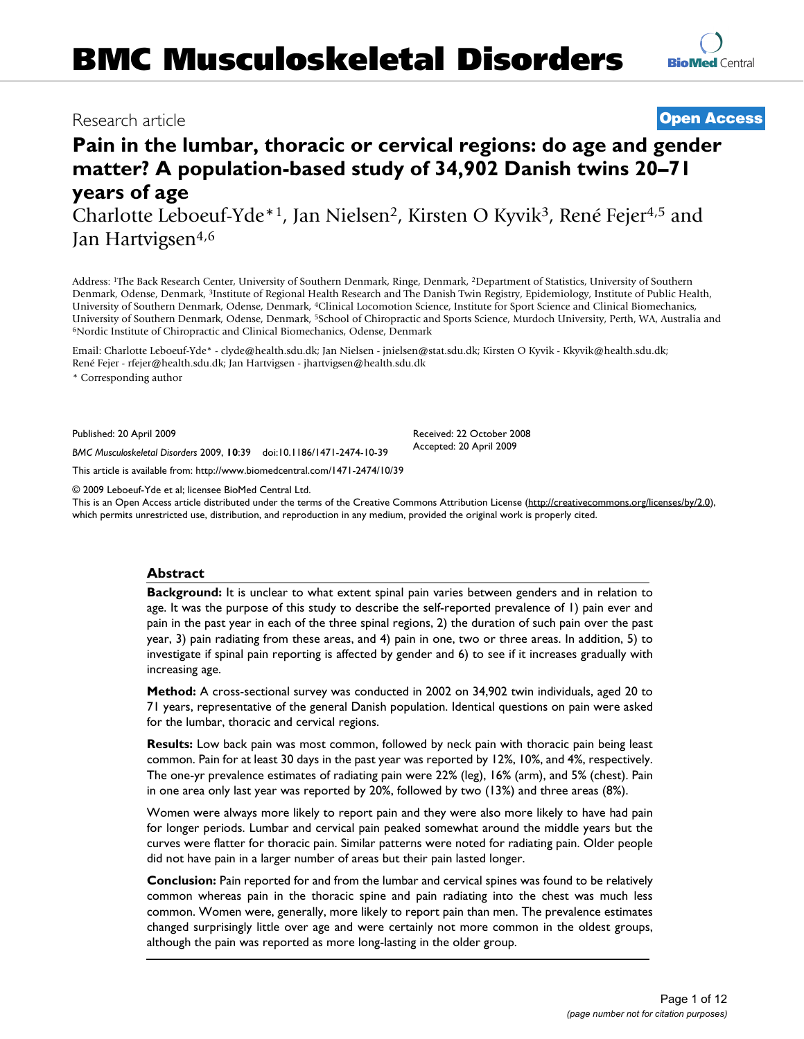## Research article **[Open Access](http://www.biomedcentral.com/info/about/charter/)**

# **Pain in the lumbar, thoracic or cervical regions: do age and gender matter? A population-based study of 34,902 Danish twins 20–71 years of age**

Charlotte Leboeuf-Yde\*1, Jan Nielsen2, Kirsten O Kyvik3, René Fejer4,5 and Jan Hartvigsen<sup>4,6</sup>

Address: 1The Back Research Center, University of Southern Denmark, Ringe, Denmark, 2Department of Statistics, University of Southern Denmark, Odense, Denmark, 3Institute of Regional Health Research and The Danish Twin Registry, Epidemiology, Institute of Public Health, University of Southern Denmark, Odense, Denmark, 4Clinical Locomotion Science, Institute for Sport Science and Clinical Biomechanics, University of Southern Denmark, Odense, Denmark, <sup>5</sup>School of Chiropractic and Sports Science, Murdoch University, Perth, WA, Australia and <sup>6</sup>Nordic Institute of Chiropractic and Clinical Biomechanics, Odense, Denmark

Email: Charlotte Leboeuf-Yde\* - clyde@health.sdu.dk; Jan Nielsen - jnielsen@stat.sdu.dk; Kirsten O Kyvik - Kkyvik@health.sdu.dk; René Fejer - rfejer@health.sdu.dk; Jan Hartvigsen - jhartvigsen@health.sdu.dk

\* Corresponding author

Published: 20 April 2009

Received: 22 October 2008 Accepted: 20 April 2009

*BMC Musculoskeletal Disorders* 2009, **10**:39 doi:10.1186/1471-2474-10-39 [This article is available from: http://www.biomedcentral.com/1471-2474/10/39](http://www.biomedcentral.com/1471-2474/10/39)

© 2009 Leboeuf-Yde et al; licensee BioMed Central Ltd.

This is an Open Access article distributed under the terms of the Creative Commons Attribution License [\(http://creativecommons.org/licenses/by/2.0\)](http://creativecommons.org/licenses/by/2.0), which permits unrestricted use, distribution, and reproduction in any medium, provided the original work is properly cited.

## **Abstract**

**Background:** It is unclear to what extent spinal pain varies between genders and in relation to age. It was the purpose of this study to describe the self-reported prevalence of 1) pain ever and pain in the past year in each of the three spinal regions, 2) the duration of such pain over the past year, 3) pain radiating from these areas, and 4) pain in one, two or three areas. In addition, 5) to investigate if spinal pain reporting is affected by gender and 6) to see if it increases gradually with increasing age.

**Method:** A cross-sectional survey was conducted in 2002 on 34,902 twin individuals, aged 20 to 71 years, representative of the general Danish population. Identical questions on pain were asked for the lumbar, thoracic and cervical regions.

**Results:** Low back pain was most common, followed by neck pain with thoracic pain being least common. Pain for at least 30 days in the past year was reported by 12%, 10%, and 4%, respectively. The one-yr prevalence estimates of radiating pain were 22% (leg), 16% (arm), and 5% (chest). Pain in one area only last year was reported by 20%, followed by two (13%) and three areas (8%).

Women were always more likely to report pain and they were also more likely to have had pain for longer periods. Lumbar and cervical pain peaked somewhat around the middle years but the curves were flatter for thoracic pain. Similar patterns were noted for radiating pain. Older people did not have pain in a larger number of areas but their pain lasted longer.

**Conclusion:** Pain reported for and from the lumbar and cervical spines was found to be relatively common whereas pain in the thoracic spine and pain radiating into the chest was much less common. Women were, generally, more likely to report pain than men. The prevalence estimates changed surprisingly little over age and were certainly not more common in the oldest groups, although the pain was reported as more long-lasting in the older group.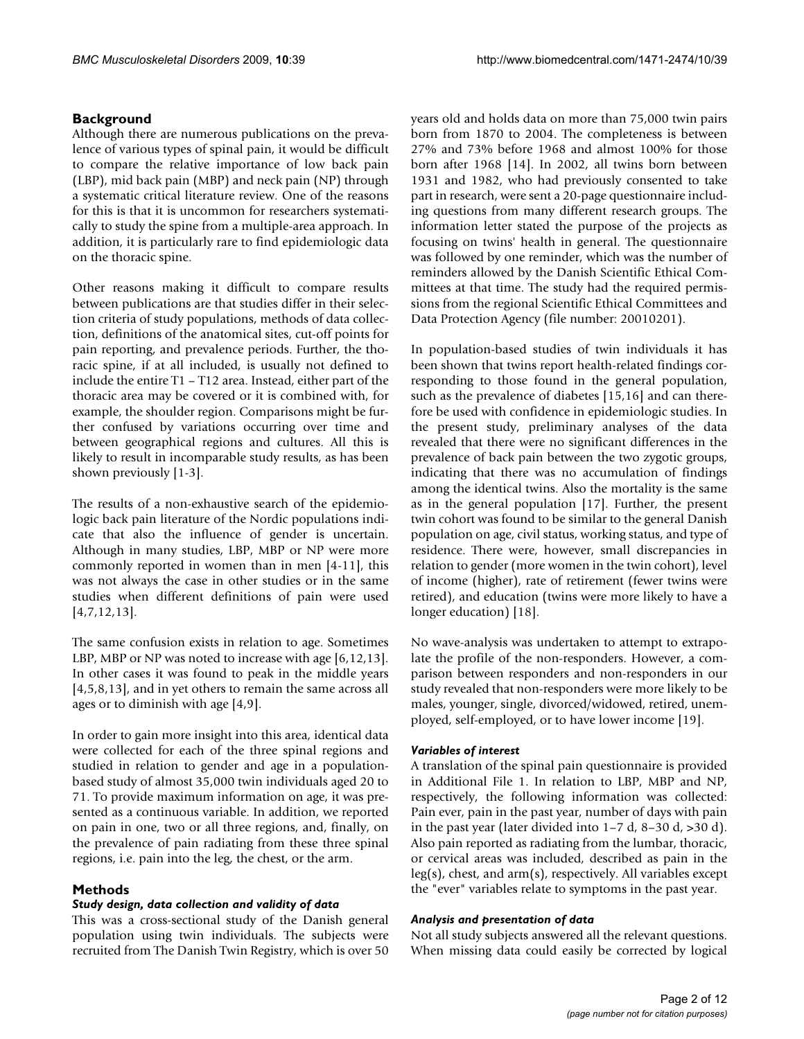## **Background**

Although there are numerous publications on the prevalence of various types of spinal pain, it would be difficult to compare the relative importance of low back pain (LBP), mid back pain (MBP) and neck pain (NP) through a systematic critical literature review. One of the reasons for this is that it is uncommon for researchers systematically to study the spine from a multiple-area approach. In addition, it is particularly rare to find epidemiologic data on the thoracic spine.

Other reasons making it difficult to compare results between publications are that studies differ in their selection criteria of study populations, methods of data collection, definitions of the anatomical sites, cut-off points for pain reporting, and prevalence periods. Further, the thoracic spine, if at all included, is usually not defined to include the entire T1 – T12 area. Instead, either part of the thoracic area may be covered or it is combined with, for example, the shoulder region. Comparisons might be further confused by variations occurring over time and between geographical regions and cultures. All this is likely to result in incomparable study results, as has been shown previously [1-3].

The results of a non-exhaustive search of the epidemiologic back pain literature of the Nordic populations indicate that also the influence of gender is uncertain. Although in many studies, LBP, MBP or NP were more commonly reported in women than in men [4-11], this was not always the case in other studies or in the same studies when different definitions of pain were used [4,7,12,13].

The same confusion exists in relation to age. Sometimes LBP, MBP or NP was noted to increase with age [6,12,13]. In other cases it was found to peak in the middle years [4,5,8,13], and in yet others to remain the same across all ages or to diminish with age [4,9].

In order to gain more insight into this area, identical data were collected for each of the three spinal regions and studied in relation to gender and age in a populationbased study of almost 35,000 twin individuals aged 20 to 71. To provide maximum information on age, it was presented as a continuous variable. In addition, we reported on pain in one, two or all three regions, and, finally, on the prevalence of pain radiating from these three spinal regions, i.e. pain into the leg, the chest, or the arm.

## **Methods**

## *Study design, data collection and validity of data*

This was a cross-sectional study of the Danish general population using twin individuals. The subjects were recruited from The Danish Twin Registry, which is over 50

years old and holds data on more than 75,000 twin pairs born from 1870 to 2004. The completeness is between 27% and 73% before 1968 and almost 100% for those born after 1968 [14]. In 2002, all twins born between 1931 and 1982, who had previously consented to take part in research, were sent a 20-page questionnaire including questions from many different research groups. The information letter stated the purpose of the projects as focusing on twins' health in general. The questionnaire was followed by one reminder, which was the number of reminders allowed by the Danish Scientific Ethical Committees at that time. The study had the required permissions from the regional Scientific Ethical Committees and Data Protection Agency (file number: 20010201).

In population-based studies of twin individuals it has been shown that twins report health-related findings corresponding to those found in the general population, such as the prevalence of diabetes [15,16] and can therefore be used with confidence in epidemiologic studies. In the present study, preliminary analyses of the data revealed that there were no significant differences in the prevalence of back pain between the two zygotic groups, indicating that there was no accumulation of findings among the identical twins. Also the mortality is the same as in the general population [17]. Further, the present twin cohort was found to be similar to the general Danish population on age, civil status, working status, and type of residence. There were, however, small discrepancies in relation to gender (more women in the twin cohort), level of income (higher), rate of retirement (fewer twins were retired), and education (twins were more likely to have a longer education) [18].

No wave-analysis was undertaken to attempt to extrapolate the profile of the non-responders. However, a comparison between responders and non-responders in our study revealed that non-responders were more likely to be males, younger, single, divorced/widowed, retired, unemployed, self-employed, or to have lower income [19].

## *Variables of interest*

A translation of the spinal pain questionnaire is provided in Additional File 1. In relation to LBP, MBP and NP, respectively, the following information was collected: Pain ever, pain in the past year, number of days with pain in the past year (later divided into  $1-7$  d,  $8-30$  d,  $>30$  d). Also pain reported as radiating from the lumbar, thoracic, or cervical areas was included, described as pain in the leg(s), chest, and arm(s), respectively. All variables except the "ever" variables relate to symptoms in the past year.

## *Analysis and presentation of data*

Not all study subjects answered all the relevant questions. When missing data could easily be corrected by logical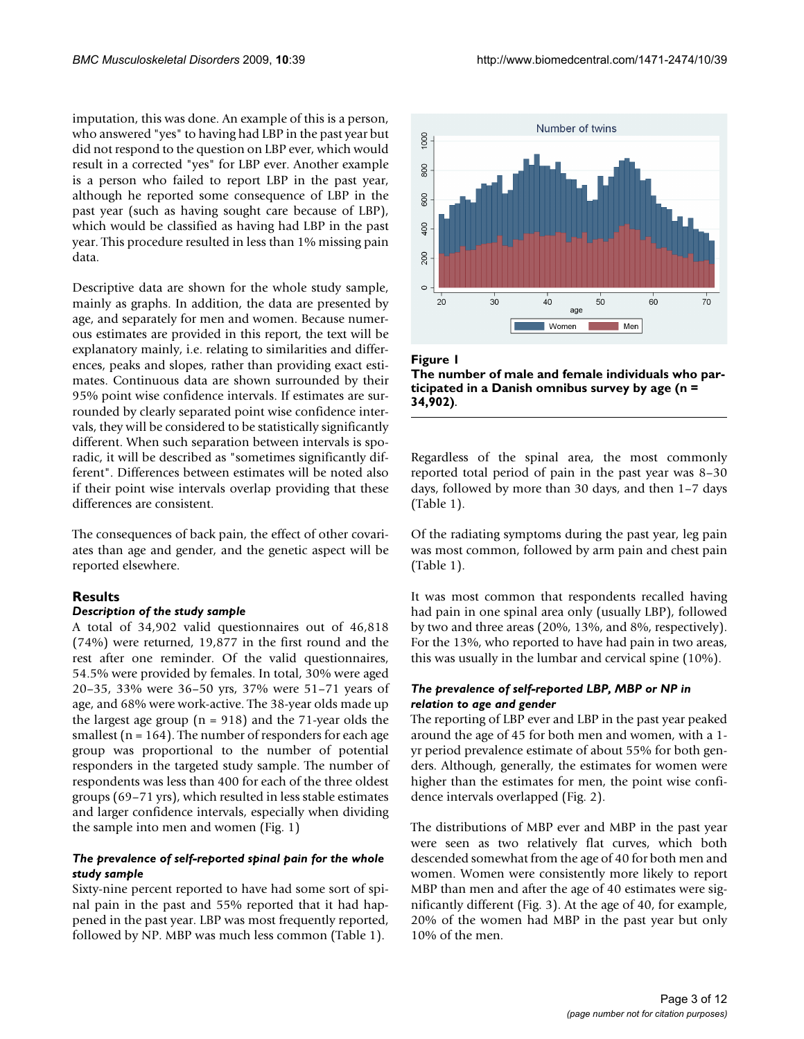imputation, this was done. An example of this is a person, who answered "yes" to having had LBP in the past year but did not respond to the question on LBP ever, which would result in a corrected "yes" for LBP ever. Another example is a person who failed to report LBP in the past year, although he reported some consequence of LBP in the past year (such as having sought care because of LBP), which would be classified as having had LBP in the past year. This procedure resulted in less than 1% missing pain data.

Descriptive data are shown for the whole study sample, mainly as graphs. In addition, the data are presented by age, and separately for men and women. Because numerous estimates are provided in this report, the text will be explanatory mainly, i.e. relating to similarities and differences, peaks and slopes, rather than providing exact estimates. Continuous data are shown surrounded by their 95% point wise confidence intervals. If estimates are surrounded by clearly separated point wise confidence intervals, they will be considered to be statistically significantly different. When such separation between intervals is sporadic, it will be described as "sometimes significantly different". Differences between estimates will be noted also if their point wise intervals overlap providing that these differences are consistent.

The consequences of back pain, the effect of other covariates than age and gender, and the genetic aspect will be reported elsewhere.

## **Results**

## *Description of the study sample*

A total of 34,902 valid questionnaires out of 46,818 (74%) were returned, 19,877 in the first round and the rest after one reminder. Of the valid questionnaires, 54.5% were provided by females. In total, 30% were aged 20–35, 33% were 36–50 yrs, 37% were 51–71 years of age, and 68% were work-active. The 38-year olds made up the largest age group ( $n = 918$ ) and the 71-year olds the smallest ( $n = 164$ ). The number of responders for each age group was proportional to the number of potential responders in the targeted study sample. The number of respondents was less than 400 for each of the three oldest groups (69–71 yrs), which resulted in less stable estimates and larger confidence intervals, especially when dividing the sample into men and women (Fig. 1)

## *The prevalence of self-reported spinal pain for the whole study sample*

Sixty-nine percent reported to have had some sort of spinal pain in the past and 55% reported that it had happened in the past year. LBP was most frequently reported, followed by NP. MBP was much less common (Table 1).



Figure 1

**The number of male and female individuals who participated in a Danish omnibus survey by age (n = 34,902)**.

Regardless of the spinal area, the most commonly reported total period of pain in the past year was 8–30 days, followed by more than 30 days, and then 1–7 days (Table 1).

Of the radiating symptoms during the past year, leg pain was most common, followed by arm pain and chest pain (Table 1).

It was most common that respondents recalled having had pain in one spinal area only (usually LBP), followed by two and three areas (20%, 13%, and 8%, respectively). For the 13%, who reported to have had pain in two areas, this was usually in the lumbar and cervical spine (10%).

## *The prevalence of self-reported LBP, MBP or NP in relation to age and gender*

The reporting of LBP ever and LBP in the past year peaked around the age of 45 for both men and women, with a 1 yr period prevalence estimate of about 55% for both genders. Although, generally, the estimates for women were higher than the estimates for men, the point wise confidence intervals overlapped (Fig. 2).

The distributions of MBP ever and MBP in the past year were seen as two relatively flat curves, which both descended somewhat from the age of 40 for both men and women. Women were consistently more likely to report MBP than men and after the age of 40 estimates were significantly different (Fig. 3). At the age of 40, for example, 20% of the women had MBP in the past year but only 10% of the men.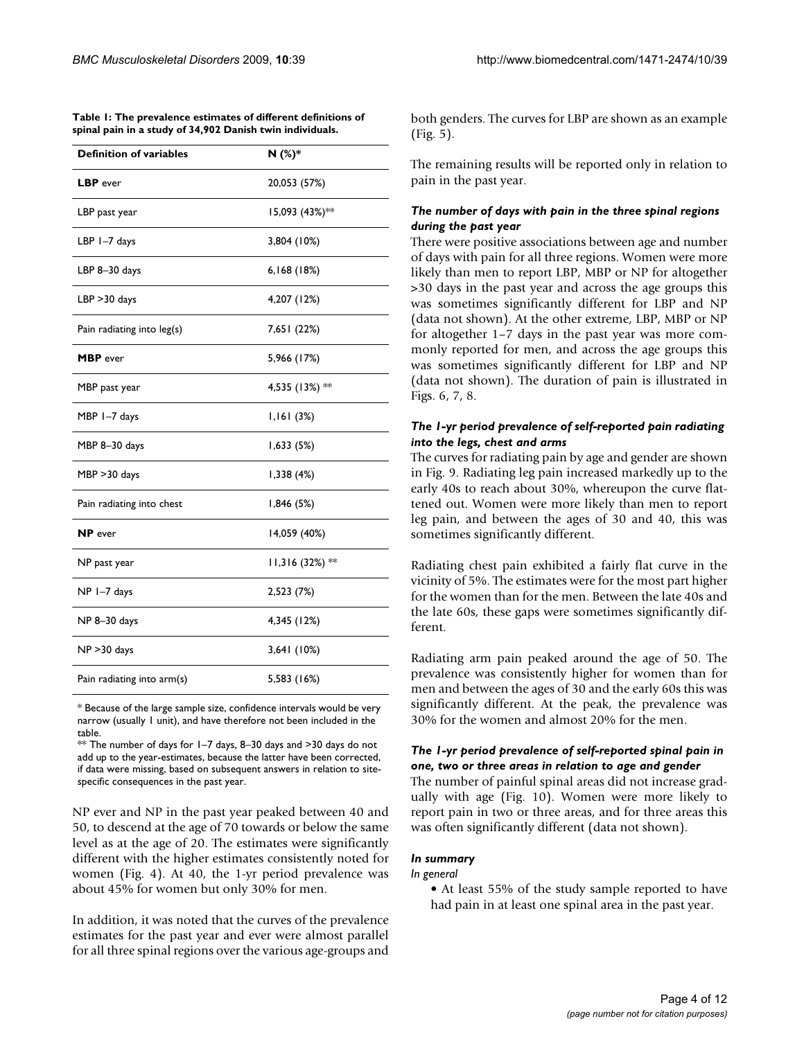| <b>Definition of variables</b> | N(%)*            |
|--------------------------------|------------------|
| LBP ever                       | 20,053 (57%)     |
| LBP past year                  | 15,093 (43%)**   |
| LBP 1-7 days                   | 3,804 (10%)      |
| LBP 8-30 days                  | 6,168(18%)       |
| LBP > 30 days                  | 4,207 (12%)      |
| Pain radiating into leg(s)     | 7,651 (22%)      |
| <b>MBP</b> ever                | 5,966 (17%)      |
| MBP past year                  | 4,535 (13%) **   |
| MBP 1-7 days                   | 1,161(3%)        |
| MBP 8-30 days                  | 1,633(5%)        |
| MBP > 30 days                  | 1,338(4%)        |
| Pain radiating into chest      | 1,846 (5%)       |
| <b>NP</b> ever                 | 14,059 (40%)     |
| NP past year                   | $11,316(32%)$ ** |
| NP 1-7 days                    | 2,523 (7%)       |
| NP 8-30 days                   | 4,345 (12%)      |
| $NP > 30$ days                 | 3,641 (10%)      |
| Pain radiating into arm(s)     | 5,583 (16%)      |
|                                |                  |

**Table 1: The prevalence estimates of different definitions of spinal pain in a study of 34,902 Danish twin individuals.**

\* Because of the large sample size, confidence intervals would be very narrow (usually 1 unit), and have therefore not been included in the table.

 $**$  The number of days for  $1-7$  days, 8-30 days and >30 days do not add up to the year-estimates, because the latter have been corrected, if data were missing, based on subsequent answers in relation to sitespecific consequences in the past year.

NP ever and NP in the past year peaked between 40 and 50, to descend at the age of 70 towards or below the same level as at the age of 20. The estimates were significantly different with the higher estimates consistently noted for women (Fig. 4). At 40, the 1-yr period prevalence was about 45% for women but only 30% for men.

In addition, it was noted that the curves of the prevalence estimates for the past year and ever were almost parallel for all three spinal regions over the various age-groups and both genders. The curves for LBP are shown as an example (Fig. 5).

The remaining results will be reported only in relation to pain in the past year.

## *The number of days with pain in the three spinal regions during the past year*

There were positive associations between age and number of days with pain for all three regions. Women were more likely than men to report LBP, MBP or NP for altogether >30 days in the past year and across the age groups this was sometimes significantly different for LBP and NP (data not shown). At the other extreme, LBP, MBP or NP for altogether 1–7 days in the past year was more commonly reported for men, and across the age groups this was sometimes significantly different for LBP and NP (data not shown). The duration of pain is illustrated in Figs. 6, 7, 8.

## *The 1-yr period prevalence of self-reported pain radiating into the legs, chest and arms*

The curves for radiating pain by age and gender are shown in Fig. 9. Radiating leg pain increased markedly up to the early 40s to reach about 30%, whereupon the curve flattened out. Women were more likely than men to report leg pain, and between the ages of 30 and 40, this was sometimes significantly different.

Radiating chest pain exhibited a fairly flat curve in the vicinity of 5%. The estimates were for the most part higher for the women than for the men. Between the late 40s and the late 60s, these gaps were sometimes significantly different.

Radiating arm pain peaked around the age of 50. The prevalence was consistently higher for women than for men and between the ages of 30 and the early 60s this was significantly different. At the peak, the prevalence was 30% for the women and almost 20% for the men.

## *The 1-yr period prevalence of self-reported spinal pain in one, two or three areas in relation to age and gender*

The number of painful spinal areas did not increase gradually with age (Fig. 10). Women were more likely to report pain in two or three areas, and for three areas this was often significantly different (data not shown).

## *In summary*

#### *In general*

• At least 55% of the study sample reported to have had pain in at least one spinal area in the past year.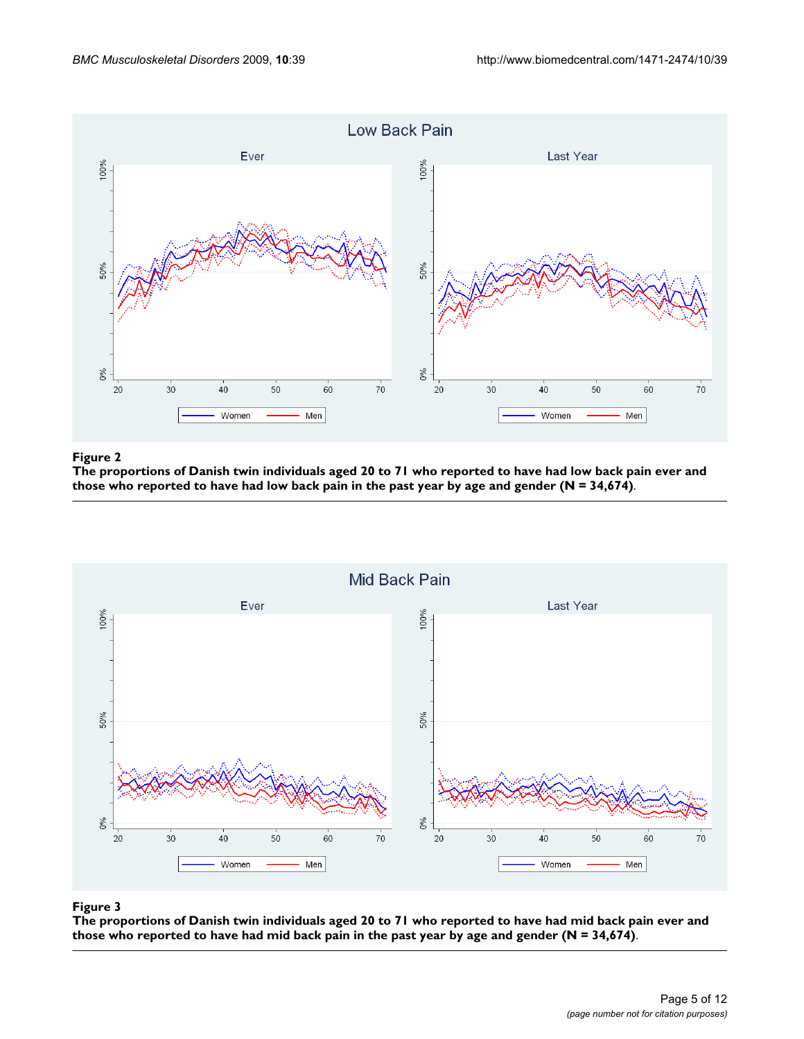

## The proportions of Danish twin individuals aged 20 to 71 wh reported to have had low back pain in th **Figure 2** e past year by age and gender (N = 34,674) o reported to have had low back pain ever and those who

**The proportions of Danish twin individuals aged 20 to 71 who reported to have had low back pain ever and those who reported to have had low back pain in the past year by age and gender (N = 34,674)**.



## The proportions of Danish twin individuals aged 20 to 71 wh reported to have had mid back pain in the past year by age and gender (N = 34,674) **Figure 3** o reported to have had mid back pain ever and those who

**The proportions of Danish twin individuals aged 20 to 71 who reported to have had mid back pain ever and those who reported to have had mid back pain in the past year by age and gender (N = 34,674)**.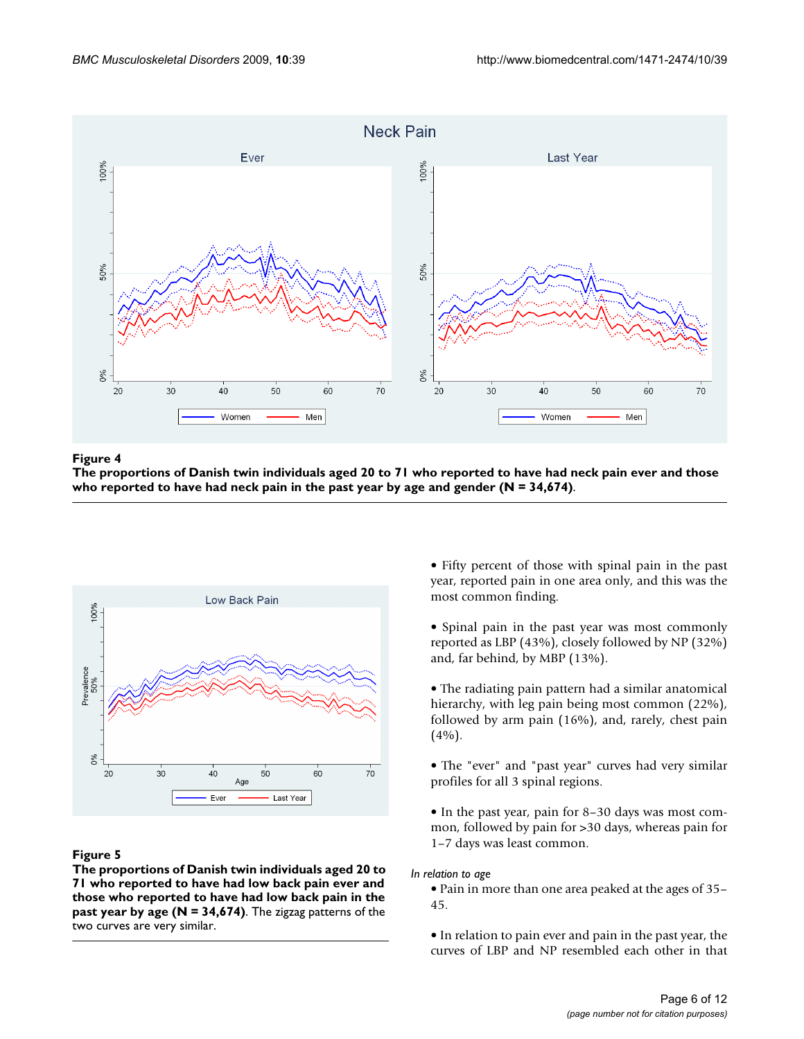

## The proportions of Danish twin individuals aged 20 to 71 who re have had neck pain in the past year by age and gender (N = 34,674) **Figure 4** ported to have had neck pain ever and those who reported to

**The proportions of Danish twin individuals aged 20 to 71 who reported to have had neck pain ever and those who reported to have had neck pain in the past year by age and gender (N = 34,674)**.



## Figure 5

**The proportions of Danish twin individuals aged 20 to 71 who reported to have had low back pain ever and those who reported to have had low back pain in the past year by age (N = 34,674)**. The zigzag patterns of the two curves are very similar.

• Fifty percent of those with spinal pain in the past year, reported pain in one area only, and this was the most common finding.

• Spinal pain in the past year was most commonly reported as LBP (43%), closely followed by NP (32%) and, far behind, by MBP (13%).

• The radiating pain pattern had a similar anatomical hierarchy, with leg pain being most common (22%), followed by arm pain (16%), and, rarely, chest pain (4%).

• The "ever" and "past year" curves had very similar profiles for all 3 spinal regions.

• In the past year, pain for 8–30 days was most common, followed by pain for >30 days, whereas pain for 1–7 days was least common.

*In relation to age*

• Pain in more than one area peaked at the ages of 35– 45.

• In relation to pain ever and pain in the past year, the curves of LBP and NP resembled each other in that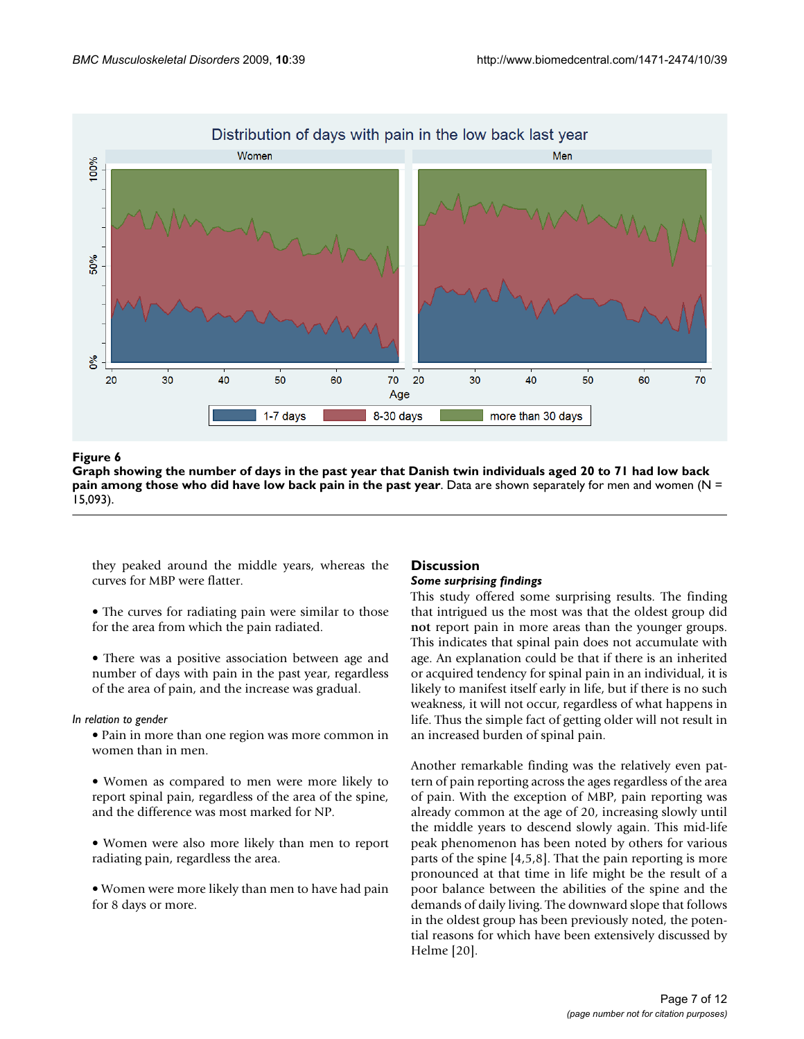

## Graph showing the number of days in the past year that Danish who did have low back pain in the past year **Figure 6** twin individuals aged 20 to 71 had low back pain among those

**Graph showing the number of days in the past year that Danish twin individuals aged 20 to 71 had low back pain among those who did have low back pain in the past year**. Data are shown separately for men and women (N = 15,093).

they peaked around the middle years, whereas the curves for MBP were flatter.

- The curves for radiating pain were similar to those for the area from which the pain radiated.
- There was a positive association between age and number of days with pain in the past year, regardless of the area of pain, and the increase was gradual.

## *In relation to gender*

- Pain in more than one region was more common in women than in men.
- Women as compared to men were more likely to report spinal pain, regardless of the area of the spine, and the difference was most marked for NP.
- Women were also more likely than men to report radiating pain, regardless the area.
- Women were more likely than men to have had pain for 8 days or more.

## **Discussion** *Some surprising findings*

This study offered some surprising results. The finding that intrigued us the most was that the oldest group did **not** report pain in more areas than the younger groups. This indicates that spinal pain does not accumulate with age. An explanation could be that if there is an inherited or acquired tendency for spinal pain in an individual, it is likely to manifest itself early in life, but if there is no such weakness, it will not occur, regardless of what happens in life. Thus the simple fact of getting older will not result in an increased burden of spinal pain.

Another remarkable finding was the relatively even pattern of pain reporting across the ages regardless of the area of pain. With the exception of MBP, pain reporting was already common at the age of 20, increasing slowly until the middle years to descend slowly again. This mid-life peak phenomenon has been noted by others for various parts of the spine [4,5,8]. That the pain reporting is more pronounced at that time in life might be the result of a poor balance between the abilities of the spine and the demands of daily living. The downward slope that follows in the oldest group has been previously noted, the potential reasons for which have been extensively discussed by Helme [20].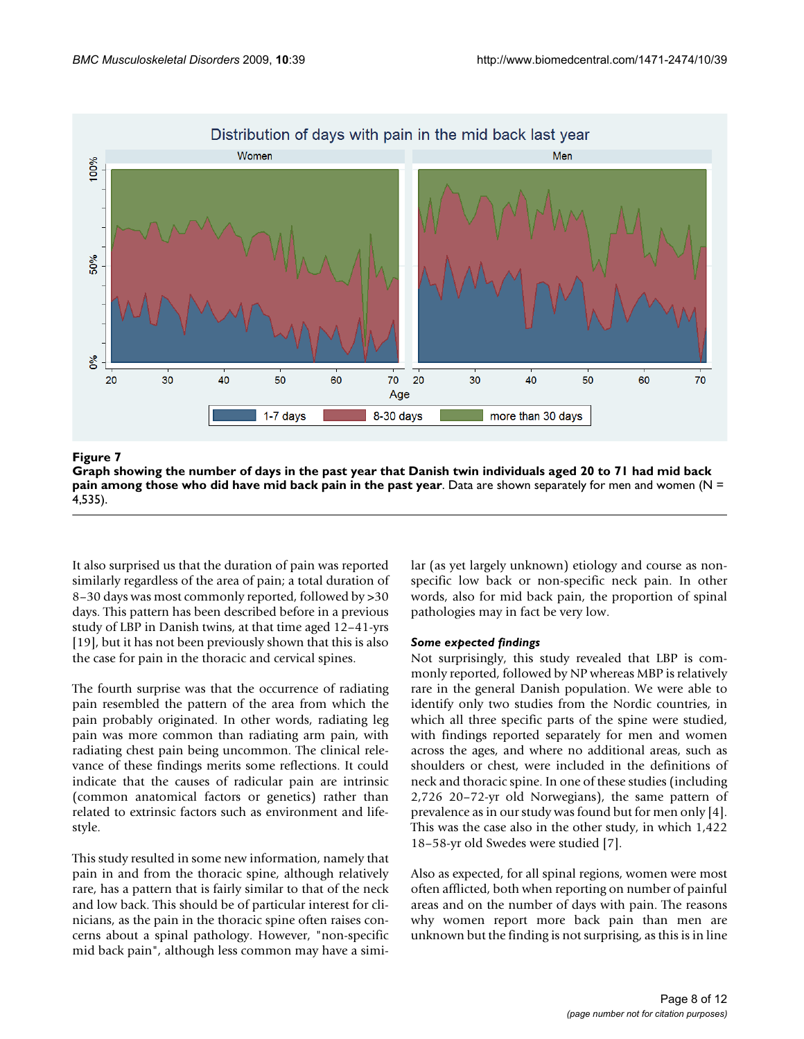

Graph showing the number of days in the pa who did have mid back pain in the past year **Figure 7** st year that Danish twin individuals aged 20 to 71 had mid back pain among those

**Graph showing the number of days in the past year that Danish twin individuals aged 20 to 71 had mid back pain among those who did have mid back pain in the past year**. Data are shown separately for men and women (N = 4,535).

It also surprised us that the duration of pain was reported similarly regardless of the area of pain; a total duration of 8–30 days was most commonly reported, followed by >30 days. This pattern has been described before in a previous study of LBP in Danish twins, at that time aged 12–41-yrs [19], but it has not been previously shown that this is also the case for pain in the thoracic and cervical spines.

The fourth surprise was that the occurrence of radiating pain resembled the pattern of the area from which the pain probably originated. In other words, radiating leg pain was more common than radiating arm pain, with radiating chest pain being uncommon. The clinical relevance of these findings merits some reflections. It could indicate that the causes of radicular pain are intrinsic (common anatomical factors or genetics) rather than related to extrinsic factors such as environment and lifestyle.

This study resulted in some new information, namely that pain in and from the thoracic spine, although relatively rare, has a pattern that is fairly similar to that of the neck and low back. This should be of particular interest for clinicians, as the pain in the thoracic spine often raises concerns about a spinal pathology. However, "non-specific mid back pain", although less common may have a similar (as yet largely unknown) etiology and course as nonspecific low back or non-specific neck pain. In other words, also for mid back pain, the proportion of spinal pathologies may in fact be very low.

## *Some expected findings*

Not surprisingly, this study revealed that LBP is commonly reported, followed by NP whereas MBP is relatively rare in the general Danish population. We were able to identify only two studies from the Nordic countries, in which all three specific parts of the spine were studied, with findings reported separately for men and women across the ages, and where no additional areas, such as shoulders or chest, were included in the definitions of neck and thoracic spine. In one of these studies (including 2,726 20–72-yr old Norwegians), the same pattern of prevalence as in our study was found but for men only [4]. This was the case also in the other study, in which 1,422 18–58-yr old Swedes were studied [7].

Also as expected, for all spinal regions, women were most often afflicted, both when reporting on number of painful areas and on the number of days with pain. The reasons why women report more back pain than men are unknown but the finding is not surprising, as this is in line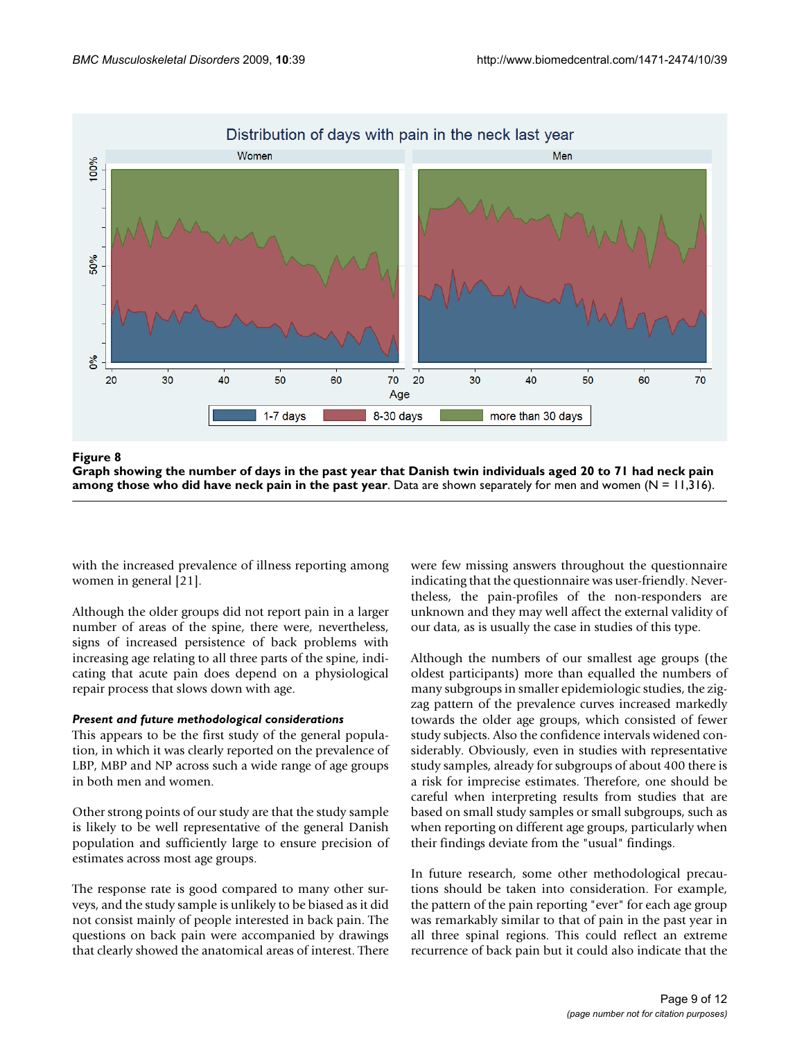

Graph showing the number of days in the past year that Danish did have neck pain in the past year **Figure 8** twin individuals aged 20 to 71 had neck pain among those who **Graph showing the number of days in the past year that Danish twin individuals aged 20 to 71 had neck pain among those who did have neck pain in the past year**. Data are shown separately for men and women (N = 11,316).

with the increased prevalence of illness reporting among women in general [21].

Although the older groups did not report pain in a larger number of areas of the spine, there were, nevertheless, signs of increased persistence of back problems with increasing age relating to all three parts of the spine, indicating that acute pain does depend on a physiological repair process that slows down with age.

## *Present and future methodological considerations*

This appears to be the first study of the general population, in which it was clearly reported on the prevalence of LBP, MBP and NP across such a wide range of age groups in both men and women.

Other strong points of our study are that the study sample is likely to be well representative of the general Danish population and sufficiently large to ensure precision of estimates across most age groups.

The response rate is good compared to many other surveys, and the study sample is unlikely to be biased as it did not consist mainly of people interested in back pain. The questions on back pain were accompanied by drawings that clearly showed the anatomical areas of interest. There were few missing answers throughout the questionnaire indicating that the questionnaire was user-friendly. Nevertheless, the pain-profiles of the non-responders are unknown and they may well affect the external validity of our data, as is usually the case in studies of this type.

Although the numbers of our smallest age groups (the oldest participants) more than equalled the numbers of many subgroups in smaller epidemiologic studies, the zigzag pattern of the prevalence curves increased markedly towards the older age groups, which consisted of fewer study subjects. Also the confidence intervals widened considerably. Obviously, even in studies with representative study samples, already for subgroups of about 400 there is a risk for imprecise estimates. Therefore, one should be careful when interpreting results from studies that are based on small study samples or small subgroups, such as when reporting on different age groups, particularly when their findings deviate from the "usual" findings.

In future research, some other methodological precautions should be taken into consideration. For example, the pattern of the pain reporting "ever" for each age group was remarkably similar to that of pain in the past year in all three spinal regions. This could reflect an extreme recurrence of back pain but it could also indicate that the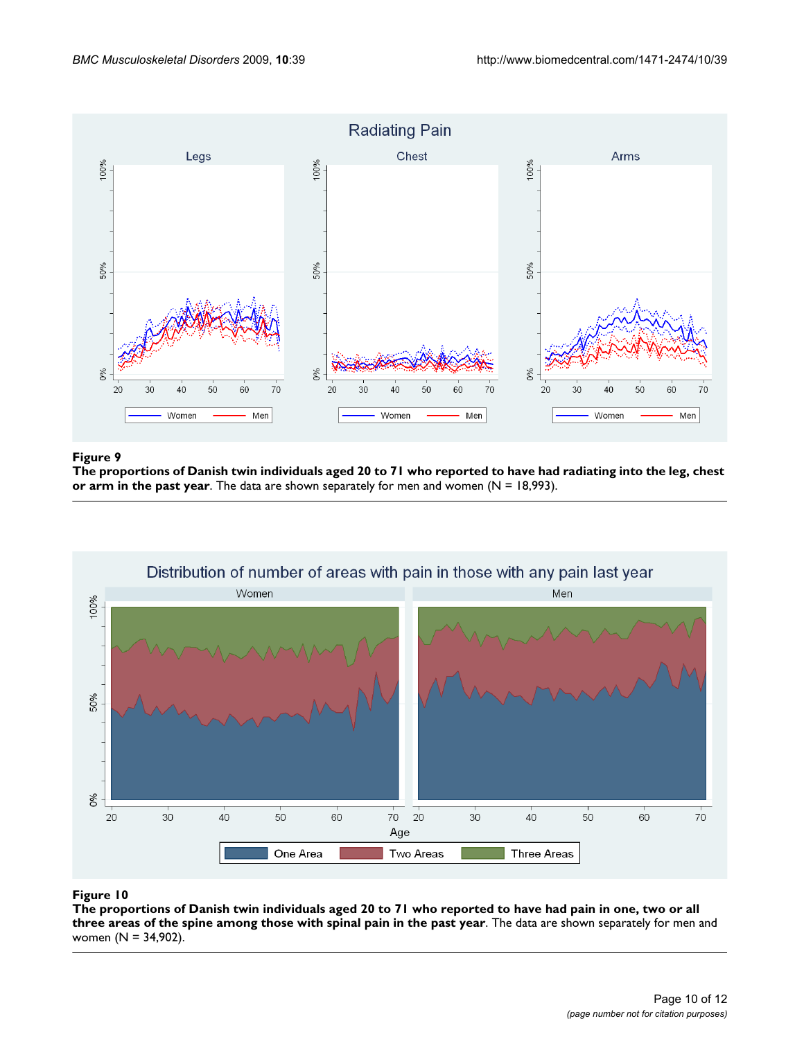

## The proportions of Danish twin individuals aged 20 to 71 who repo past year **Figure 9** rted to have had radiating into the leg, chest or arm in the

**The proportions of Danish twin individuals aged 20 to 71 who reported to have had radiating into the leg, chest or arm in the past year**. The data are shown separately for men and women (N = 18,993).



The proportions of Danish twin individuals aged 20 to 71 who repo spine among those with spinal pain in the past year **Figure 10** rted to have had pain in one, two or all three areas of the **The proportions of Danish twin individuals aged 20 to 71 who reported to have had pain in one, two or all three areas of the spine among those with spinal pain in the past year**. The data are shown separately for men and women (N = 34,902).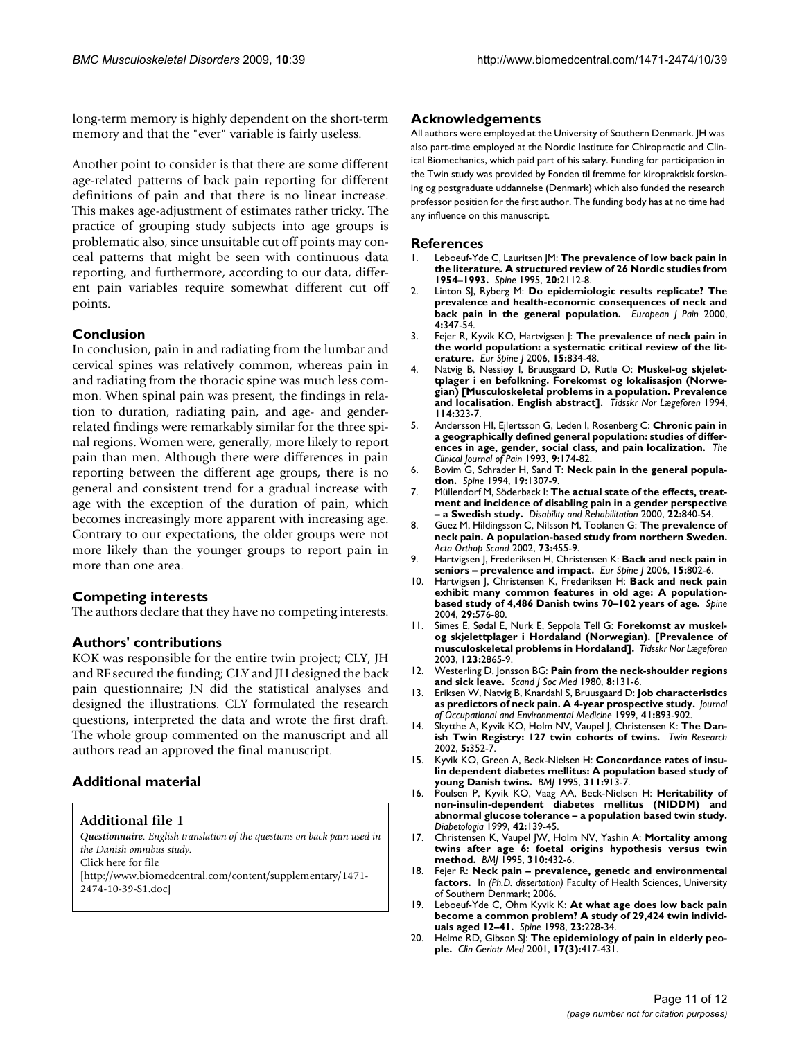long-term memory is highly dependent on the short-term memory and that the "ever" variable is fairly useless.

Another point to consider is that there are some different age-related patterns of back pain reporting for different definitions of pain and that there is no linear increase. This makes age-adjustment of estimates rather tricky. The practice of grouping study subjects into age groups is problematic also, since unsuitable cut off points may conceal patterns that might be seen with continuous data reporting, and furthermore, according to our data, different pain variables require somewhat different cut off points.

## **Conclusion**

In conclusion, pain in and radiating from the lumbar and cervical spines was relatively common, whereas pain in and radiating from the thoracic spine was much less common. When spinal pain was present, the findings in relation to duration, radiating pain, and age- and genderrelated findings were remarkably similar for the three spinal regions. Women were, generally, more likely to report pain than men. Although there were differences in pain reporting between the different age groups, there is no general and consistent trend for a gradual increase with age with the exception of the duration of pain, which becomes increasingly more apparent with increasing age. Contrary to our expectations, the older groups were not more likely than the younger groups to report pain in more than one area.

## **Competing interests**

The authors declare that they have no competing interests.

## **Authors' contributions**

KOK was responsible for the entire twin project; CLY, JH and RF secured the funding; CLY and JH designed the back pain questionnaire; JN did the statistical analyses and designed the illustrations. CLY formulated the research questions, interpreted the data and wrote the first draft. The whole group commented on the manuscript and all authors read an approved the final manuscript.

## **Additional material**

**Additional file 1**

*Questionnaire. English translation of the questions on back pain used in the Danish omnibus study.* Click here for file [\[http://www.biomedcentral.com/content/supplementary/1471-](http://www.biomedcentral.com/content/supplementary/1471-2474-10-39-S1.doc) 2474-10-39-S1.doc]

## **Acknowledgements**

All authors were employed at the University of Southern Denmark. JH was also part-time employed at the Nordic Institute for Chiropractic and Clinical Biomechanics, which paid part of his salary. Funding for participation in the Twin study was provided by Fonden til fremme for kiropraktisk forskning og postgraduate uddannelse (Denmark) which also funded the research professor position for the first author. The funding body has at no time had any influence on this manuscript.

#### **References**

- 1. Leboeuf-Yde C, Lauritsen JM: **[The prevalence of low back pain in](http://www.ncbi.nlm.nih.gov/entrez/query.fcgi?cmd=Retrieve&db=PubMed&dopt=Abstract&list_uids=8588168) [the literature. A structured review of 26 Nordic studies from](http://www.ncbi.nlm.nih.gov/entrez/query.fcgi?cmd=Retrieve&db=PubMed&dopt=Abstract&list_uids=8588168) [1954–1993.](http://www.ncbi.nlm.nih.gov/entrez/query.fcgi?cmd=Retrieve&db=PubMed&dopt=Abstract&list_uids=8588168)** *Spine* 1995, **20:**2112-8.
- 2. Linton SJ, Ryberg M: **Do epidemiologic results replicate? The prevalence and health-economic consequences of neck and back pain in the general population.** *European J Pain* 2000, **4:**347-54.
- 3. Fejer R, Kyvik KO, Hartvigsen J: **[The prevalence of neck pain in](http://www.ncbi.nlm.nih.gov/entrez/query.fcgi?cmd=Retrieve&db=PubMed&dopt=Abstract&list_uids=15999284) [the world population: a systematic critical review of the lit](http://www.ncbi.nlm.nih.gov/entrez/query.fcgi?cmd=Retrieve&db=PubMed&dopt=Abstract&list_uids=15999284)[erature.](http://www.ncbi.nlm.nih.gov/entrez/query.fcgi?cmd=Retrieve&db=PubMed&dopt=Abstract&list_uids=15999284)** *Eur Spine J* 2006, **15:**834-48.
- 4. Natvig B, Nessiøy I, Bruusgaard D, Rutle O: **Muskel-og skjelettplager i en befolkning. Forekomst og lokalisasjon (Norwegian) [Musculoskeletal problems in a population. Prevalence and localisation. English abstract].** *Tidsskr Nor Lægeforen* 1994, **114:**323-7.
- 5. Andersson HI, Ejlertsson G, Leden I, Rosenberg C: **[Chronic pain in](http://www.ncbi.nlm.nih.gov/entrez/query.fcgi?cmd=Retrieve&db=PubMed&dopt=Abstract&list_uids=8219517) [a geographically defined general population: studies of differ](http://www.ncbi.nlm.nih.gov/entrez/query.fcgi?cmd=Retrieve&db=PubMed&dopt=Abstract&list_uids=8219517)[ences in age, gender, social class, and pain localization.](http://www.ncbi.nlm.nih.gov/entrez/query.fcgi?cmd=Retrieve&db=PubMed&dopt=Abstract&list_uids=8219517)** *The Clinical Journal of Pain* 1993, **9:**174-82.
- 6. Bovim G, Schrader H, Sand T: **[Neck pain in the general popula](http://www.ncbi.nlm.nih.gov/entrez/query.fcgi?cmd=Retrieve&db=PubMed&dopt=Abstract&list_uids=8066508)[tion.](http://www.ncbi.nlm.nih.gov/entrez/query.fcgi?cmd=Retrieve&db=PubMed&dopt=Abstract&list_uids=8066508)** *Spine* 1994, **19:**1307-9.
- 7. Müllendorf M, Söderback I: **The actual state of the effects, treatment and incidence of disabling pain in a gender perspective – a Swedish study.** *Disability and Rehabilitation* 2000, **22:**840-54.
- 8. Guez M, Hildingsson C, Nilsson M, Toolanen G: **[The prevalence of](http://www.ncbi.nlm.nih.gov/entrez/query.fcgi?cmd=Retrieve&db=PubMed&dopt=Abstract&list_uids=12358121) [neck pain. A population-based study from northern Sweden.](http://www.ncbi.nlm.nih.gov/entrez/query.fcgi?cmd=Retrieve&db=PubMed&dopt=Abstract&list_uids=12358121)** *Acta Orthop Scand* 2002, **73:**455-9.
- 9. Hartvigsen J, Frederiksen H, Christensen K: **[Back and neck pain in](http://www.ncbi.nlm.nih.gov/entrez/query.fcgi?cmd=Retrieve&db=PubMed&dopt=Abstract&list_uids=16235099) [seniors – prevalence and impact.](http://www.ncbi.nlm.nih.gov/entrez/query.fcgi?cmd=Retrieve&db=PubMed&dopt=Abstract&list_uids=16235099)** *Eur Spine J* 2006, **15:**802-6.
- 10. Hartvigsen J, Christensen K, Frederiksen H: **[Back and neck pain](http://www.ncbi.nlm.nih.gov/entrez/query.fcgi?cmd=Retrieve&db=PubMed&dopt=Abstract&list_uids=15129076) [exhibit many common features in old age: A population](http://www.ncbi.nlm.nih.gov/entrez/query.fcgi?cmd=Retrieve&db=PubMed&dopt=Abstract&list_uids=15129076)[based study of 4,486 Danish twins 70–102 years of age.](http://www.ncbi.nlm.nih.gov/entrez/query.fcgi?cmd=Retrieve&db=PubMed&dopt=Abstract&list_uids=15129076)** *Spine* 2004, **29:**576-80.
- 11. Simes E, Sødal E, Nurk E, Seppola Tell G: **Forekomst av muskelog skjelettplager i Hordaland (Norwegian). [Prevalence of musculoskeletal problems in Hordaland].** *Tidsskr Nor Lægeforen* 2003, **123:**2865-9.
- 12. Westerling D, Jonsson BG: **[Pain from the neck-shoulder regions](http://www.ncbi.nlm.nih.gov/entrez/query.fcgi?cmd=Retrieve&db=PubMed&dopt=Abstract&list_uids=7209455) [and sick leave.](http://www.ncbi.nlm.nih.gov/entrez/query.fcgi?cmd=Retrieve&db=PubMed&dopt=Abstract&list_uids=7209455)** *Scand J Soc Med* 1980, **8:**131-6.
- 13. Eriksen W, Natvig B, Knardahl S, Bruusgaard D: **Job characteristics as predictors of neck pain. A 4-year prospective study.** *Journal of Occupational and Environmental Medicine* 1999, **41:**893-902.
- 14. Skytthe A, Kyvik KO, Holm NV, Vaupel J, Christensen K: **[The Dan](http://www.ncbi.nlm.nih.gov/entrez/query.fcgi?cmd=Retrieve&db=PubMed&dopt=Abstract&list_uids=12537858)[ish Twin Registry: 127 twin cohorts of twins.](http://www.ncbi.nlm.nih.gov/entrez/query.fcgi?cmd=Retrieve&db=PubMed&dopt=Abstract&list_uids=12537858)** *Twin Research* 2002, **5:**352-7.
- 15. Kyvik KO, Green A, Beck-Nielsen H: **[Concordance rates of insu](http://www.ncbi.nlm.nih.gov/entrez/query.fcgi?cmd=Retrieve&db=PubMed&dopt=Abstract&list_uids=7580548)[lin dependent diabetes mellitus: A population based study of](http://www.ncbi.nlm.nih.gov/entrez/query.fcgi?cmd=Retrieve&db=PubMed&dopt=Abstract&list_uids=7580548) [young Danish twins.](http://www.ncbi.nlm.nih.gov/entrez/query.fcgi?cmd=Retrieve&db=PubMed&dopt=Abstract&list_uids=7580548)** *BMJ* 1995, **311:**913-7.
- 16. Poulsen P, Kyvik KO, Vaag AA, Beck-Nielsen H: **[Heritability of](http://www.ncbi.nlm.nih.gov/entrez/query.fcgi?cmd=Retrieve&db=PubMed&dopt=Abstract&list_uids=10064092) non-insulin-dependent diabetes mellitus (NIDDM) and [abnormal glucose tolerance – a population based twin study.](http://www.ncbi.nlm.nih.gov/entrez/query.fcgi?cmd=Retrieve&db=PubMed&dopt=Abstract&list_uids=10064092)** *Diabetologia* 1999, **42:**139-45.
- 17. Christensen K, Vaupel JW, Holm NV, Yashin A: **[Mortality among](http://www.ncbi.nlm.nih.gov/entrez/query.fcgi?cmd=Retrieve&db=PubMed&dopt=Abstract&list_uids=7873948) [twins after age 6: foetal origins hypothesis versus twin](http://www.ncbi.nlm.nih.gov/entrez/query.fcgi?cmd=Retrieve&db=PubMed&dopt=Abstract&list_uids=7873948) [method.](http://www.ncbi.nlm.nih.gov/entrez/query.fcgi?cmd=Retrieve&db=PubMed&dopt=Abstract&list_uids=7873948)** *BMJ* 1995, **310:**432-6.
- 18. Fejer R: **Neck pain prevalence, genetic and environmental factors.** In *(Ph.D. dissertation)* Faculty of Health Sciences, University of Southern Denmark; 2006.
- 19. Leboeuf-Yde C, Ohm Kyvik K: **[At what age does low back pain](http://www.ncbi.nlm.nih.gov/entrez/query.fcgi?cmd=Retrieve&db=PubMed&dopt=Abstract&list_uids=9474731) [become a common problem? A study of 29,424 twin individ](http://www.ncbi.nlm.nih.gov/entrez/query.fcgi?cmd=Retrieve&db=PubMed&dopt=Abstract&list_uids=9474731)[uals aged 12–41.](http://www.ncbi.nlm.nih.gov/entrez/query.fcgi?cmd=Retrieve&db=PubMed&dopt=Abstract&list_uids=9474731)** *Spine* 1998, **23:**228-34.
- 20. Helme RD, Gibson SJ: [The epidemiology of pain in elderly peo](http://www.ncbi.nlm.nih.gov/entrez/query.fcgi?cmd=Retrieve&db=PubMed&dopt=Abstract&list_uids=11459713)**[ple.](http://www.ncbi.nlm.nih.gov/entrez/query.fcgi?cmd=Retrieve&db=PubMed&dopt=Abstract&list_uids=11459713)** *Clin Geriatr Med* 2001, **17(3):**417-431.